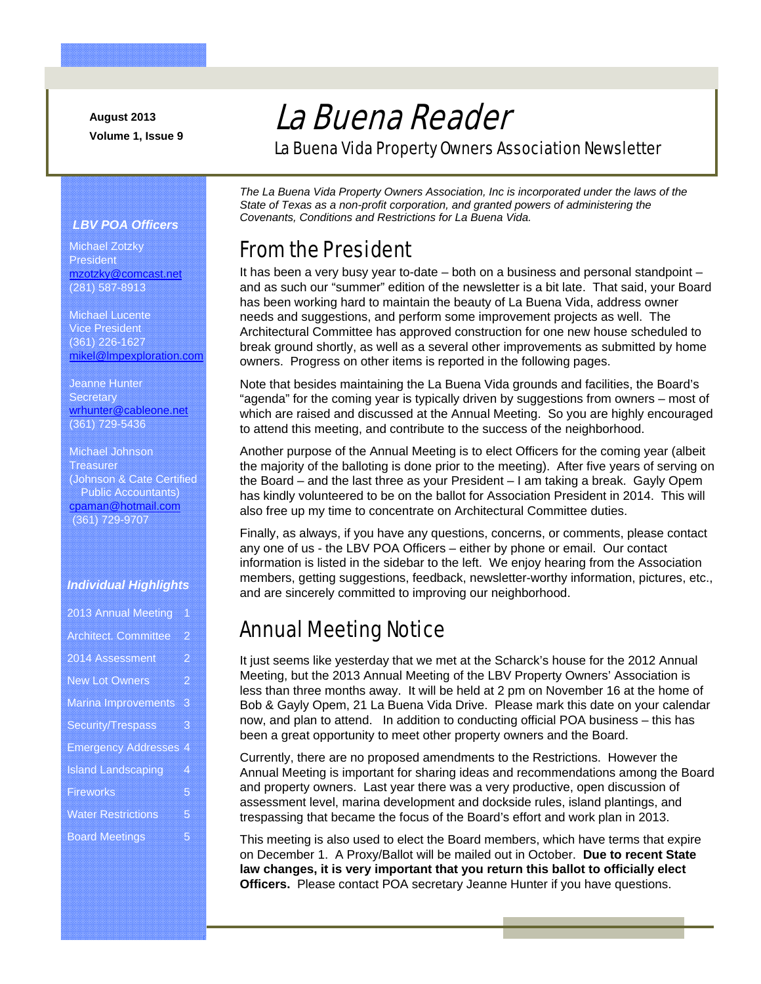**August 2013 Volume 1, Issue 9** 

# La Buena Reader

La Buena Vida Property Owners Association Newsletter

#### *LBV POA Officers*

Michael Zotzky **President** mzotzky@comcast.net (281) 587-8913

Michael Lucente Vice President (361) 226-1627 mikel@lmpexploration.com

Jeanne Hunter **Secretary** wrhunter@cableone.net (361) 729-5436

Michael Johnson **Treasurer** (Johnson & Cate Certified Public Accountants) cpaman@hotmail.com (361) 729-9707

#### *Individual Highlights*

| 2013 Annual Meeting          | ŋ              |
|------------------------------|----------------|
| <b>Architect. Committee</b>  | $\overline{2}$ |
| 2014 Assessment              | $\overline{2}$ |
| <b>New Lot Owners</b>        | 2              |
| <b>Marina Improvements</b>   | 3              |
| Security/Trespass            | 3              |
| <b>Emergency Addresses 4</b> |                |
| <b>Island Landscaping</b>    | 4              |
| <b>Fireworks</b>             | $\overline{5}$ |
| <b>Water Restrictions</b>    | 5              |
| <b>Board Meetings</b>        | 5              |

*The La Buena Vida Property Owners Association, Inc is incorporated under the laws of the State of Texas as a non-profit corporation, and granted powers of administering the Covenants, Conditions and Restrictions for La Buena Vida.* 

#### From the President

It has been a very busy year to-date – both on a business and personal standpoint – and as such our "summer" edition of the newsletter is a bit late. That said, your Board has been working hard to maintain the beauty of La Buena Vida, address owner needs and suggestions, and perform some improvement projects as well. The Architectural Committee has approved construction for one new house scheduled to break ground shortly, as well as a several other improvements as submitted by home owners. Progress on other items is reported in the following pages.

Note that besides maintaining the La Buena Vida grounds and facilities, the Board's "agenda" for the coming year is typically driven by suggestions from owners – most of which are raised and discussed at the Annual Meeting. So you are highly encouraged to attend this meeting, and contribute to the success of the neighborhood.

Another purpose of the Annual Meeting is to elect Officers for the coming year (albeit the majority of the balloting is done prior to the meeting). After five years of serving on the Board – and the last three as your President – I am taking a break. Gayly Opem has kindly volunteered to be on the ballot for Association President in 2014. This will also free up my time to concentrate on Architectural Committee duties.

Finally, as always, if you have any questions, concerns, or comments, please contact any one of us - the LBV POA Officers – either by phone or email. Our contact information is listed in the sidebar to the left. We enjoy hearing from the Association members, getting suggestions, feedback, newsletter-worthy information, pictures, etc., and are sincerely committed to improving our neighborhood.

### Annual Meeting Notice

It just seems like yesterday that we met at the Scharck's house for the 2012 Annual Meeting, but the 2013 Annual Meeting of the LBV Property Owners' Association is less than three months away. It will be held at 2 pm on November 16 at the home of Bob & Gayly Opem, 21 La Buena Vida Drive. Please mark this date on your calendar now, and plan to attend. In addition to conducting official POA business – this has been a great opportunity to meet other property owners and the Board.

Currently, there are no proposed amendments to the Restrictions. However the Annual Meeting is important for sharing ideas and recommendations among the Board and property owners. Last year there was a very productive, open discussion of assessment level, marina development and dockside rules, island plantings, and trespassing that became the focus of the Board's effort and work plan in 2013.

This meeting is also used to elect the Board members, which have terms that expire on December 1. A Proxy/Ballot will be mailed out in October. **Due to recent State law changes, it is very important that you return this ballot to officially elect Officers.** Please contact POA secretary Jeanne Hunter if you have questions.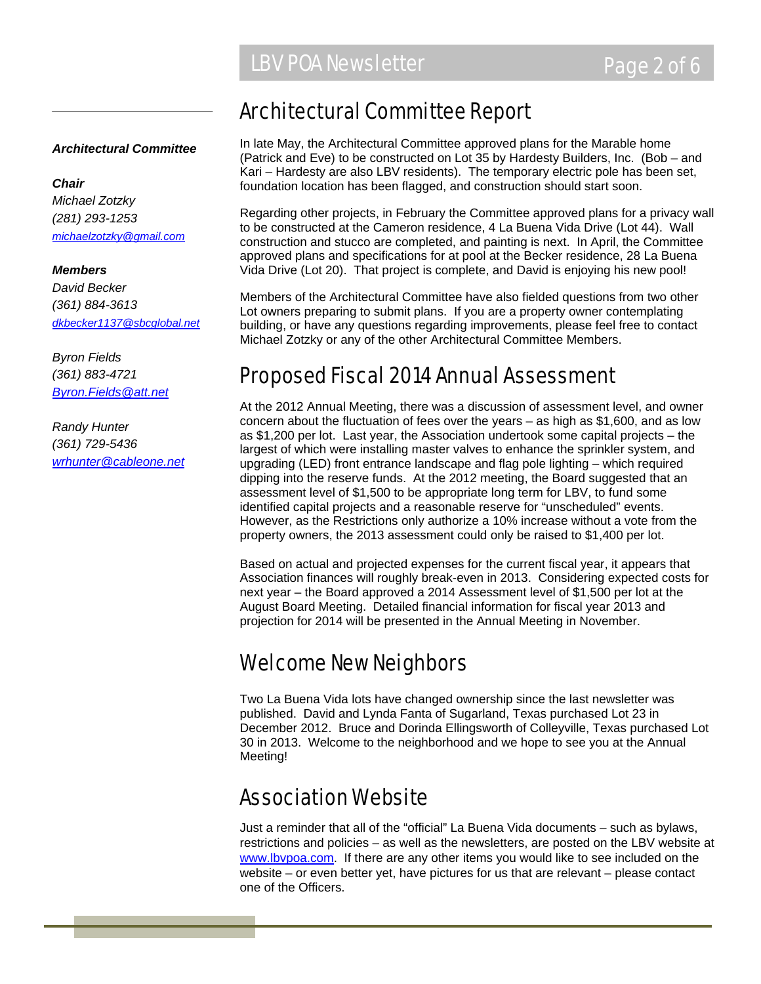#### *Architectural Committee*

*Chair Michael Zotzky (281) 293-1253 michaelzotzky@gmail.com*

*Members David Becker (361) 884-3613 dkbecker1137@sbcglobal.net*

*Byron Fields (361) 883-4721 Byron.Fields@att.net*

*Randy Hunter (361) 729-5436 wrhunter@cableone.net*

### Architectural Committee Report

In late May, the Architectural Committee approved plans for the Marable home (Patrick and Eve) to be constructed on Lot 35 by Hardesty Builders, Inc. (Bob – and Kari – Hardesty are also LBV residents). The temporary electric pole has been set, foundation location has been flagged, and construction should start soon.

Regarding other projects, in February the Committee approved plans for a privacy wall to be constructed at the Cameron residence, 4 La Buena Vida Drive (Lot 44). Wall construction and stucco are completed, and painting is next. In April, the Committee approved plans and specifications for at pool at the Becker residence, 28 La Buena Vida Drive (Lot 20). That project is complete, and David is enjoying his new pool!

Members of the Architectural Committee have also fielded questions from two other Lot owners preparing to submit plans. If you are a property owner contemplating building, or have any questions regarding improvements, please feel free to contact Michael Zotzky or any of the other Architectural Committee Members.

### Proposed Fiscal 2014 Annual Assessment

At the 2012 Annual Meeting, there was a discussion of assessment level, and owner concern about the fluctuation of fees over the years – as high as \$1,600, and as low as \$1,200 per lot. Last year, the Association undertook some capital projects – the largest of which were installing master valves to enhance the sprinkler system, and upgrading (LED) front entrance landscape and flag pole lighting – which required dipping into the reserve funds. At the 2012 meeting, the Board suggested that an assessment level of \$1,500 to be appropriate long term for LBV, to fund some identified capital projects and a reasonable reserve for "unscheduled" events. However, as the Restrictions only authorize a 10% increase without a vote from the property owners, the 2013 assessment could only be raised to \$1,400 per lot.

Based on actual and projected expenses for the current fiscal year, it appears that Association finances will roughly break-even in 2013. Considering expected costs for next year – the Board approved a 2014 Assessment level of \$1,500 per lot at the August Board Meeting. Detailed financial information for fiscal year 2013 and projection for 2014 will be presented in the Annual Meeting in November.

# Welcome New Neighbors

Two La Buena Vida lots have changed ownership since the last newsletter was published. David and Lynda Fanta of Sugarland, Texas purchased Lot 23 in December 2012. Bruce and Dorinda Ellingsworth of Colleyville, Texas purchased Lot 30 in 2013. Welcome to the neighborhood and we hope to see you at the Annual Meeting!

# Association Website

Just a reminder that all of the "official" La Buena Vida documents – such as bylaws, restrictions and policies – as well as the newsletters, are posted on the LBV website at www.lbvpoa.com. If there are any other items you would like to see included on the website – or even better yet, have pictures for us that are relevant – please contact one of the Officers.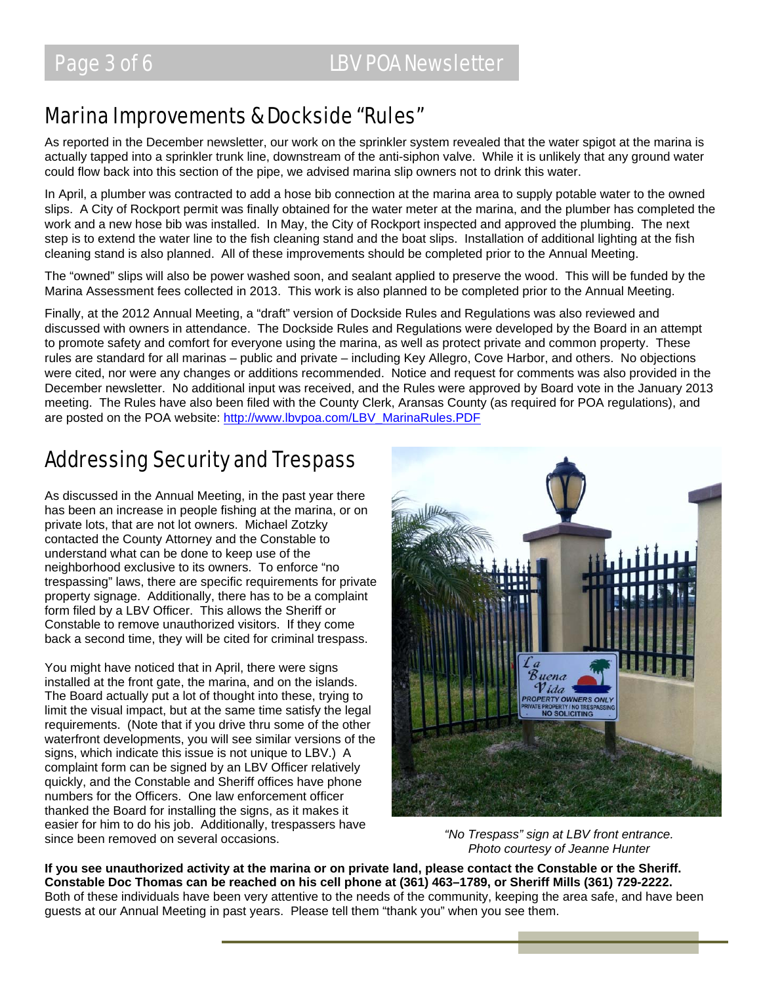### Marina Improvements & Dockside "Rules"

As reported in the December newsletter, our work on the sprinkler system revealed that the water spigot at the marina is actually tapped into a sprinkler trunk line, downstream of the anti-siphon valve. While it is unlikely that any ground water could flow back into this section of the pipe, we advised marina slip owners not to drink this water.

In April, a plumber was contracted to add a hose bib connection at the marina area to supply potable water to the owned slips. A City of Rockport permit was finally obtained for the water meter at the marina, and the plumber has completed the work and a new hose bib was installed. In May, the City of Rockport inspected and approved the plumbing. The next step is to extend the water line to the fish cleaning stand and the boat slips. Installation of additional lighting at the fish cleaning stand is also planned. All of these improvements should be completed prior to the Annual Meeting.

The "owned" slips will also be power washed soon, and sealant applied to preserve the wood. This will be funded by the Marina Assessment fees collected in 2013. This work is also planned to be completed prior to the Annual Meeting.

Finally, at the 2012 Annual Meeting, a "draft" version of Dockside Rules and Regulations was also reviewed and discussed with owners in attendance. The Dockside Rules and Regulations were developed by the Board in an attempt to promote safety and comfort for everyone using the marina, as well as protect private and common property. These rules are standard for all marinas – public and private – including Key Allegro, Cove Harbor, and others. No objections were cited, nor were any changes or additions recommended. Notice and request for comments was also provided in the December newsletter. No additional input was received, and the Rules were approved by Board vote in the January 2013 meeting. The Rules have also been filed with the County Clerk, Aransas County (as required for POA regulations), and are posted on the POA website: http://www.lbvpoa.com/LBV\_MarinaRules.PDF

# Addressing Security and Trespass

As discussed in the Annual Meeting, in the past year there has been an increase in people fishing at the marina, or on private lots, that are not lot owners. Michael Zotzky contacted the County Attorney and the Constable to understand what can be done to keep use of the neighborhood exclusive to its owners. To enforce "no trespassing" laws, there are specific requirements for private property signage. Additionally, there has to be a complaint form filed by a LBV Officer. This allows the Sheriff or Constable to remove unauthorized visitors. If they come back a second time, they will be cited for criminal trespass.

You might have noticed that in April, there were signs installed at the front gate, the marina, and on the islands. The Board actually put a lot of thought into these, trying to limit the visual impact, but at the same time satisfy the legal requirements. (Note that if you drive thru some of the other waterfront developments, you will see similar versions of the signs, which indicate this issue is not unique to LBV.) A complaint form can be signed by an LBV Officer relatively quickly, and the Constable and Sheriff offices have phone numbers for the Officers. One law enforcement officer thanked the Board for installing the signs, as it makes it easier for him to do his job. Additionally, trespassers have since been removed on several occasions. *"No Trespass" sign at LBV front entrance.* 



*Photo courtesy of Jeanne Hunter* 

**If you see unauthorized activity at the marina or on private land, please contact the Constable or the Sheriff. Constable Doc Thomas can be reached on his cell phone at (361) 463–1789, or Sheriff Mills (361) 729-2222.** Both of these individuals have been very attentive to the needs of the community, keeping the area safe, and have been guests at our Annual Meeting in past years. Please tell them "thank you" when you see them.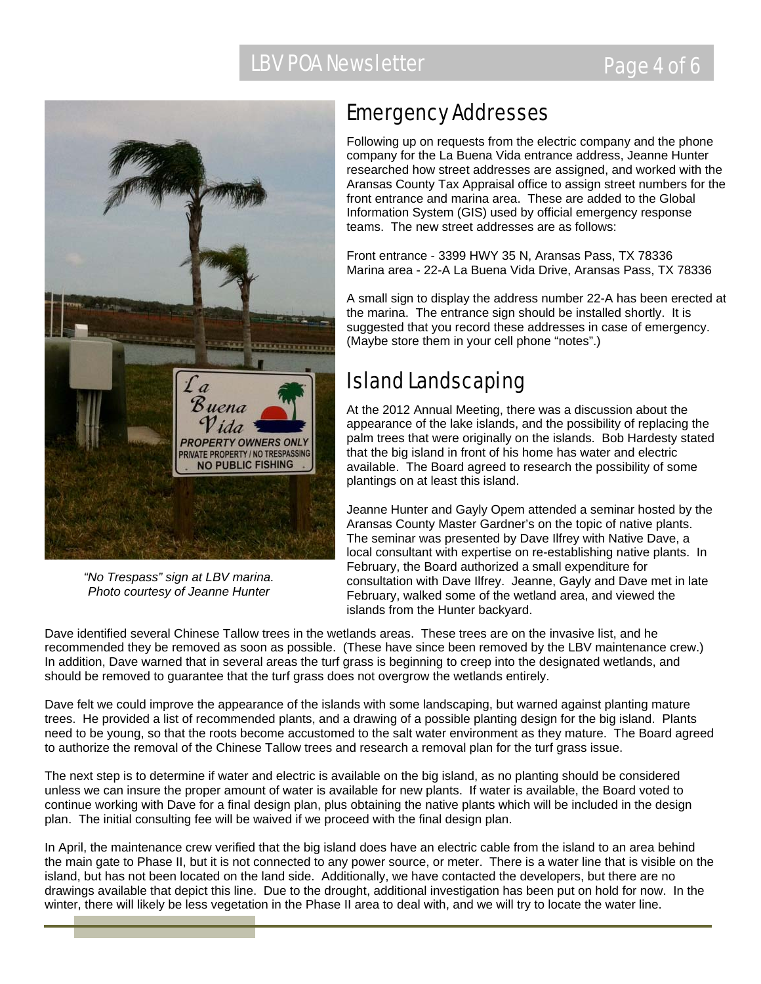

*"No Trespass" sign at LBV marina. Photo courtesy of Jeanne Hunter* 

# Emergency Addresses

Following up on requests from the electric company and the phone company for the La Buena Vida entrance address, Jeanne Hunter researched how street addresses are assigned, and worked with the Aransas County Tax Appraisal office to assign street numbers for the front entrance and marina area. These are added to the Global Information System (GIS) used by official emergency response teams. The new street addresses are as follows:

Front entrance - 3399 HWY 35 N, Aransas Pass, TX 78336 Marina area - 22-A La Buena Vida Drive, Aransas Pass, TX 78336

A small sign to display the address number 22-A has been erected at the marina. The entrance sign should be installed shortly. It is suggested that you record these addresses in case of emergency. (Maybe store them in your cell phone "notes".)

# Island Landscaping

At the 2012 Annual Meeting, there was a discussion about the appearance of the lake islands, and the possibility of replacing the palm trees that were originally on the islands. Bob Hardesty stated that the big island in front of his home has water and electric available. The Board agreed to research the possibility of some plantings on at least this island.

Jeanne Hunter and Gayly Opem attended a seminar hosted by the Aransas County Master Gardner's on the topic of native plants. The seminar was presented by Dave Ilfrey with Native Dave, a local consultant with expertise on re-establishing native plants. In February, the Board authorized a small expenditure for consultation with Dave Ilfrey. Jeanne, Gayly and Dave met in late February, walked some of the wetland area, and viewed the islands from the Hunter backyard.

Dave identified several Chinese Tallow trees in the wetlands areas. These trees are on the invasive list, and he recommended they be removed as soon as possible. (These have since been removed by the LBV maintenance crew.) In addition, Dave warned that in several areas the turf grass is beginning to creep into the designated wetlands, and should be removed to guarantee that the turf grass does not overgrow the wetlands entirely.

Dave felt we could improve the appearance of the islands with some landscaping, but warned against planting mature trees. He provided a list of recommended plants, and a drawing of a possible planting design for the big island. Plants need to be young, so that the roots become accustomed to the salt water environment as they mature. The Board agreed to authorize the removal of the Chinese Tallow trees and research a removal plan for the turf grass issue.

The next step is to determine if water and electric is available on the big island, as no planting should be considered unless we can insure the proper amount of water is available for new plants. If water is available, the Board voted to continue working with Dave for a final design plan, plus obtaining the native plants which will be included in the design plan. The initial consulting fee will be waived if we proceed with the final design plan.

In April, the maintenance crew verified that the big island does have an electric cable from the island to an area behind the main gate to Phase II, but it is not connected to any power source, or meter. There is a water line that is visible on the island, but has not been located on the land side. Additionally, we have contacted the developers, but there are no drawings available that depict this line. Due to the drought, additional investigation has been put on hold for now. In the winter, there will likely be less vegetation in the Phase II area to deal with, and we will try to locate the water line.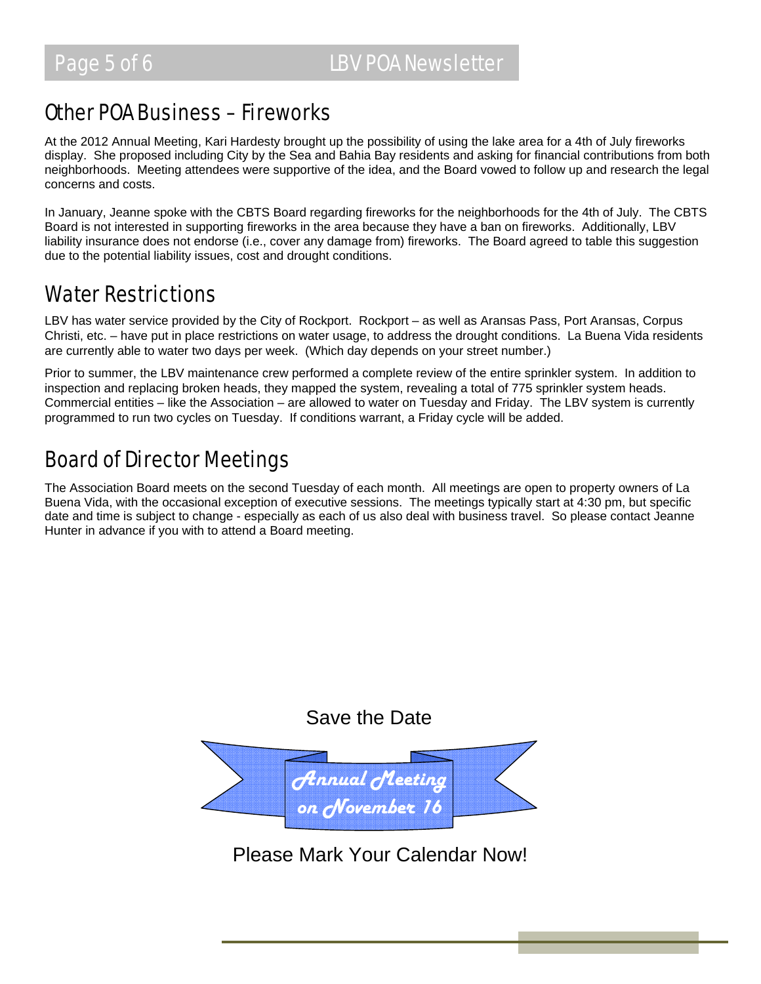### Other POA Business – Fireworks

At the 2012 Annual Meeting, Kari Hardesty brought up the possibility of using the lake area for a 4th of July fireworks display. She proposed including City by the Sea and Bahia Bay residents and asking for financial contributions from both neighborhoods. Meeting attendees were supportive of the idea, and the Board vowed to follow up and research the legal concerns and costs.

In January, Jeanne spoke with the CBTS Board regarding fireworks for the neighborhoods for the 4th of July. The CBTS Board is not interested in supporting fireworks in the area because they have a ban on fireworks. Additionally, LBV liability insurance does not endorse (i.e., cover any damage from) fireworks. The Board agreed to table this suggestion due to the potential liability issues, cost and drought conditions.

### Water Restrictions

LBV has water service provided by the City of Rockport. Rockport – as well as Aransas Pass, Port Aransas, Corpus Christi, etc. – have put in place restrictions on water usage, to address the drought conditions. La Buena Vida residents are currently able to water two days per week. (Which day depends on your street number.)

Prior to summer, the LBV maintenance crew performed a complete review of the entire sprinkler system. In addition to inspection and replacing broken heads, they mapped the system, revealing a total of 775 sprinkler system heads. Commercial entities – like the Association – are allowed to water on Tuesday and Friday. The LBV system is currently programmed to run two cycles on Tuesday. If conditions warrant, a Friday cycle will be added.

# Board of Director Meetings

The Association Board meets on the second Tuesday of each month. All meetings are open to property owners of La Buena Vida, with the occasional exception of executive sessions. The meetings typically start at 4:30 pm, but specific date and time is subject to change - especially as each of us also deal with business travel. So please contact Jeanne Hunter in advance if you with to attend a Board meeting.

#### Save the Date



Please Mark Your Calendar Now!